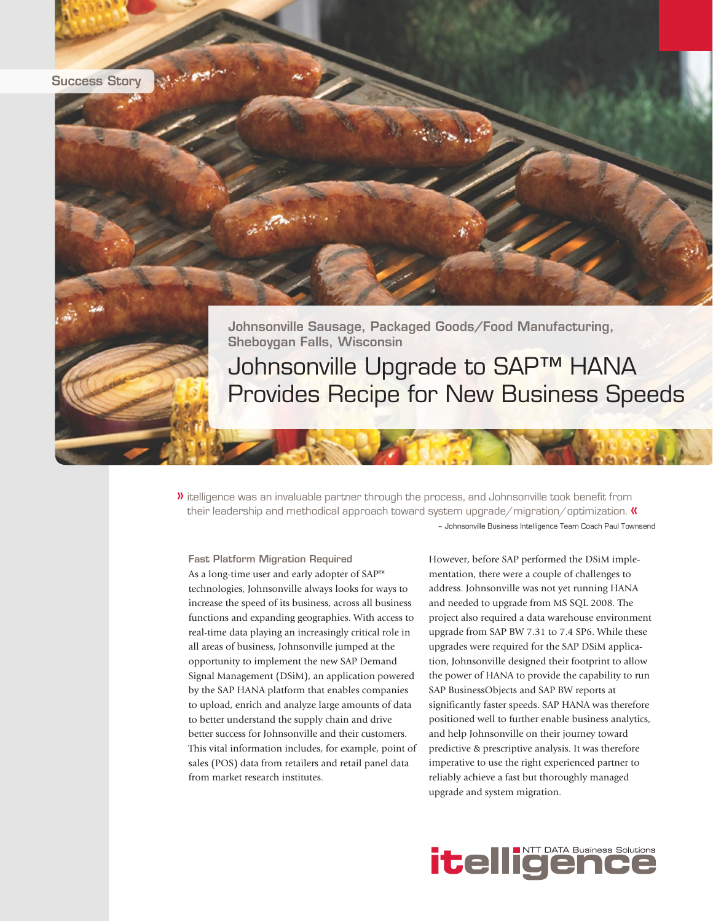

Johnsonville Sausage, Packaged Goods/Food Manufacturing, Sheboygan Falls, Wisconsin Johnsonville Upgrade to SAP™ HANA Provides Recipe for New Business Speeds

 $\blacktriangleright$  itelligence was an invaluable partner through the process, and Johnsonville took benefit from their leadership and methodical approach toward system upgrade/migration/optimization.  $\kappa$ – Johnsonville Business Intelligence Team Coach Paul Townsend

Fast Platform Migration Required As a long-time user and early adopter of SAP™ technologies, Johnsonville always looks for ways to increase the speed of its business, across all business functions and expanding geographies. With access to real-time data playing an increasingly critical role in all areas of business, Johnsonville jumped at the opportunity to implement the new SAP Demand Signal Management (DSiM), an application powered by the SAP HANA platform that enables companies to upload, enrich and analyze large amounts of data to better understand the supply chain and drive better success for Johnsonville and their customers. This vital information includes, for example, point of sales (POS) data from retailers and retail panel data from market research institutes.

S. Barnet

However, before SAP performed the DSiM implementation, there were a couple of challenges to address. Johnsonville was not yet running HANA and needed to upgrade from MS SQL 2008. The project also required a data warehouse environment upgrade from SAP BW 7.31 to 7.4 SP6. While these upgrades were required for the SAP DSiM application, Johnsonville designed their footprint to allow the power of HANA to provide the capability to run SAP BusinessObjects and SAP BW reports at significantly faster speeds. SAP HANA was therefore positioned well to further enable business analytics, and help Johnsonville on their journey toward predictive & prescriptive analysis. It was therefore imperative to use the right experienced partner to reliably achieve a fast but thoroughly managed upgrade and system migration.